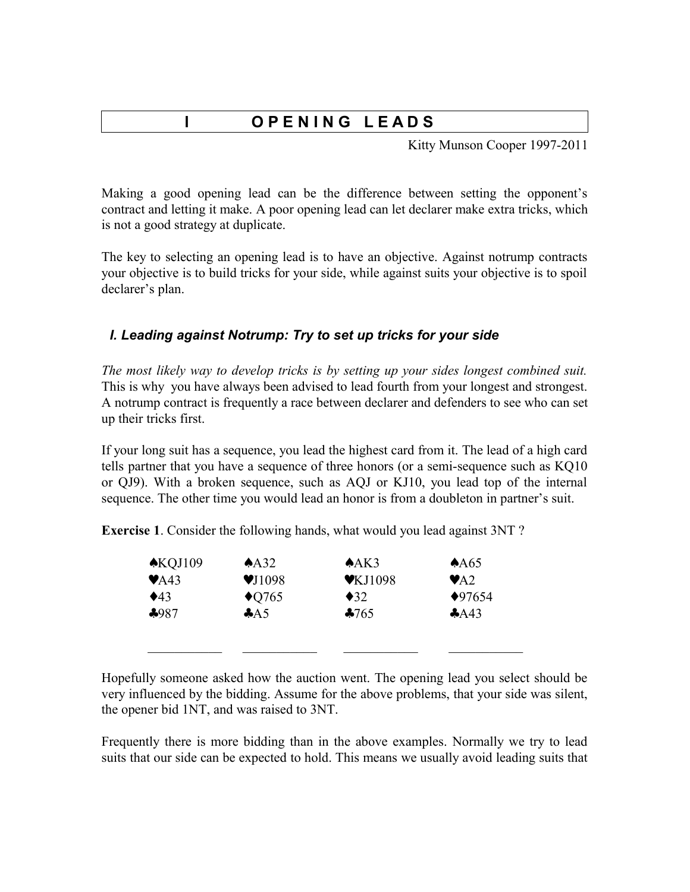# **l O P E N I N G L E A D S**

Kitty Munson Cooper 1997-2011

Making a good opening lead can be the difference between setting the opponent's contract and letting it make. A poor opening lead can let declarer make extra tricks, which is not a good strategy at duplicate.

The key to selecting an opening lead is to have an objective. Against notrump contracts your objective is to build tricks for your side, while against suits your objective is to spoil declarer's plan.

### *I. Leading against Notrump: Try to set up tricks for your side*

*The most likely way to develop tricks is by setting up your sides longest combined suit.* This is why you have always been advised to lead fourth from your longest and strongest. A notrump contract is frequently a race between declarer and defenders to see who can set up their tricks first.

If your long suit has a sequence, you lead the highest card from it. The lead of a high card tells partner that you have a sequence of three honors (or a semi-sequence such as KQ10 or QJ9). With a broken sequence, such as AQJ or KJ10, you lead top of the internal sequence. The other time you would lead an honor is from a doubleton in partner's suit.

**Exercise 1**. Consider the following hands, what would you lead against 3NT ?

| $\triangle$ KQJ109        | A <sub>32</sub>            | A K3                        | AA65                     |
|---------------------------|----------------------------|-----------------------------|--------------------------|
| $\blacktriangleright$ A43 | $\blacktriangledown$ J1098 | $\blacktriangledown$ KJ1098 | $\blacktriangleright$ A2 |
| $\triangle$ 43            | $\triangle$ Q765           | $\triangleleft$ 32          | $*97654$                 |
| $*987$                    | A5                         | $*765$                      | A43                      |
|                           |                            |                             |                          |
|                           |                            |                             |                          |

Hopefully someone asked how the auction went. The opening lead you select should be very influenced by the bidding. Assume for the above problems, that your side was silent, the opener bid 1NT, and was raised to 3NT.

Frequently there is more bidding than in the above examples. Normally we try to lead suits that our side can be expected to hold. This means we usually avoid leading suits that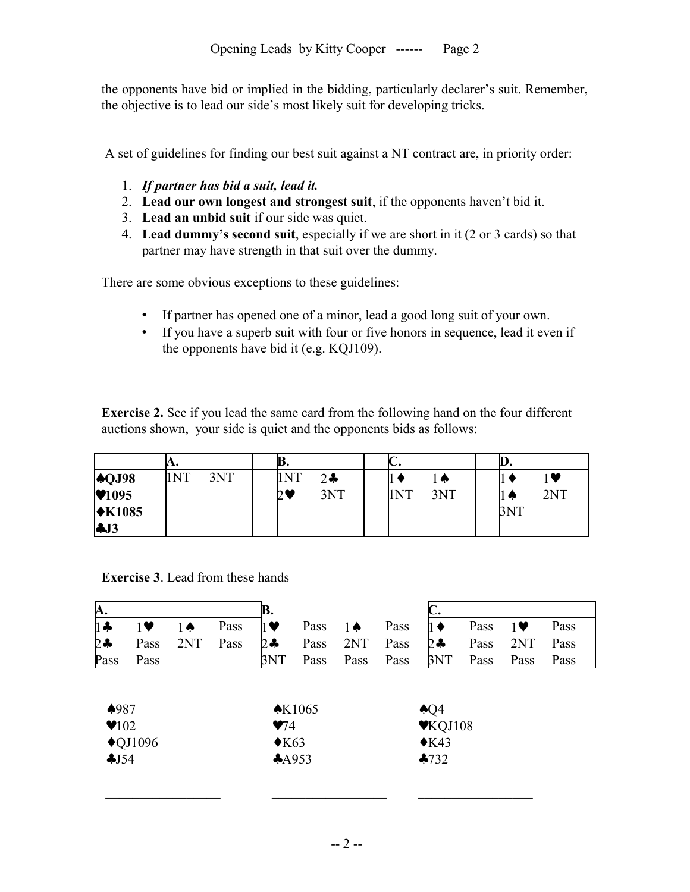the opponents have bid or implied in the bidding, particularly declarer's suit. Remember, the objective is to lead our side's most likely suit for developing tricks.

A set of guidelines for finding our best suit against a NT contract are, in priority order:

- 1. *If partner has bid a suit, lead it.*
- 2. **Lead our own longest and strongest suit**, if the opponents haven't bid it.
- 3. **Lead an unbid suit** if our side was quiet.
- 4. **Lead dummy's second suit**, especially if we are short in it (2 or 3 cards) so that partner may have strength in that suit over the dummy.

There are some obvious exceptions to these guidelines:

- If partner has opened one of a minor, lead a good long suit of your own.
- If you have a superb suit with four or five honors in sequence, lead it even if the opponents have bid it (e.g. KQJ109).

**Exercise 2.** See if you lead the same card from the following hand on the four different auctions shown, your side is quiet and the opponents bids as follows:

|                                                                                         | А.  |     | נש, |       | ru. |     | W,  |     |  |
|-----------------------------------------------------------------------------------------|-----|-----|-----|-------|-----|-----|-----|-----|--|
|                                                                                         | 1NT | 3NT | 1NT | $2 -$ |     | l ⋒ |     | ♥   |  |
| $\begin{array}{c} \n\blacktriangle \text{QJ98} \\ \blacktriangledown 1095\n\end{array}$ |     |     | 2♥  | 3NT   | 1NT | 3NT | ∐ ⊕ | 2NT |  |
| $\star$ K1085                                                                           |     |     |     |       |     |     | 3NT |     |  |
| $\clubsuit$ J3                                                                          |     |     |     |       |     |     |     |     |  |

**Exercise 3**. Lead from these hands

| <b>A.</b>                                 |                    |     |      | B.                                                |                   |      |      |                                                                            |      |            |      |  |
|-------------------------------------------|--------------------|-----|------|---------------------------------------------------|-------------------|------|------|----------------------------------------------------------------------------|------|------------|------|--|
| $1 -$                                     | $1\vee$            | 1Ѧ  | Pass | ] ♥                                               | Pass              | 1∧   | Pass | II ♦                                                                       | Pass | $1\bullet$ | Pass |  |
| $2 -$                                     | Pass               | 2NT | Pass | 2÷                                                | Pass              | 2NT  | Pass | 2÷                                                                         | Pass | 2NT        | Pass |  |
| Pass                                      | Pass               |     |      | 3NT                                               | Pass              | Pass | Pass | 3NT                                                                        | Pass | Pass       | Pass |  |
| $*987$<br>$\blacktriangledown$ 102<br>J54 | $\triangle$ QJ1096 |     |      | $\blacktriangledown$ 4<br>$\triangle$ K63<br>A953 | $\triangle$ K1065 |      |      | $\triangle Q4$<br>$\blacktriangledown$ KQJ108<br>$\triangle$ K43<br>$-732$ |      |            |      |  |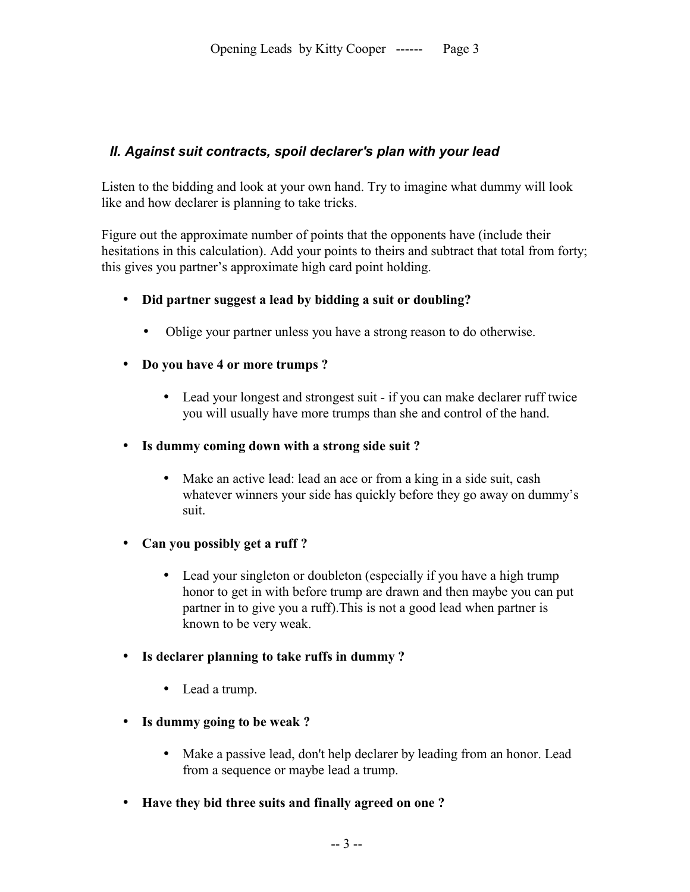## *II. Against suit contracts, spoil declarer's plan with your lead*

Listen to the bidding and look at your own hand. Try to imagine what dummy will look like and how declarer is planning to take tricks.

Figure out the approximate number of points that the opponents have (include their hesitations in this calculation). Add your points to theirs and subtract that total from forty; this gives you partner's approximate high card point holding.

- **Did partner suggest a lead by bidding a suit or doubling?**
	- Oblige your partner unless you have a strong reason to do otherwise.
- **Do you have 4 or more trumps ?**
	- Lead your longest and strongest suit if you can make declarer ruff twice you will usually have more trumps than she and control of the hand.
- **Is dummy coming down with a strong side suit ?**
	- Make an active lead: lead an ace or from a king in a side suit, cash whatever winners your side has quickly before they go away on dummy's suit.
- **Can you possibly get a ruff ?** 
	- Lead your singleton or doubleton (especially if you have a high trump honor to get in with before trump are drawn and then maybe you can put partner in to give you a ruff).This is not a good lead when partner is known to be very weak.
- **Is declarer planning to take ruffs in dummy ?**
	- Lead a trump.
- **Is dummy going to be weak ?**
	- Make a passive lead, don't help declarer by leading from an honor. Lead from a sequence or maybe lead a trump.
- **Have they bid three suits and finally agreed on one ?**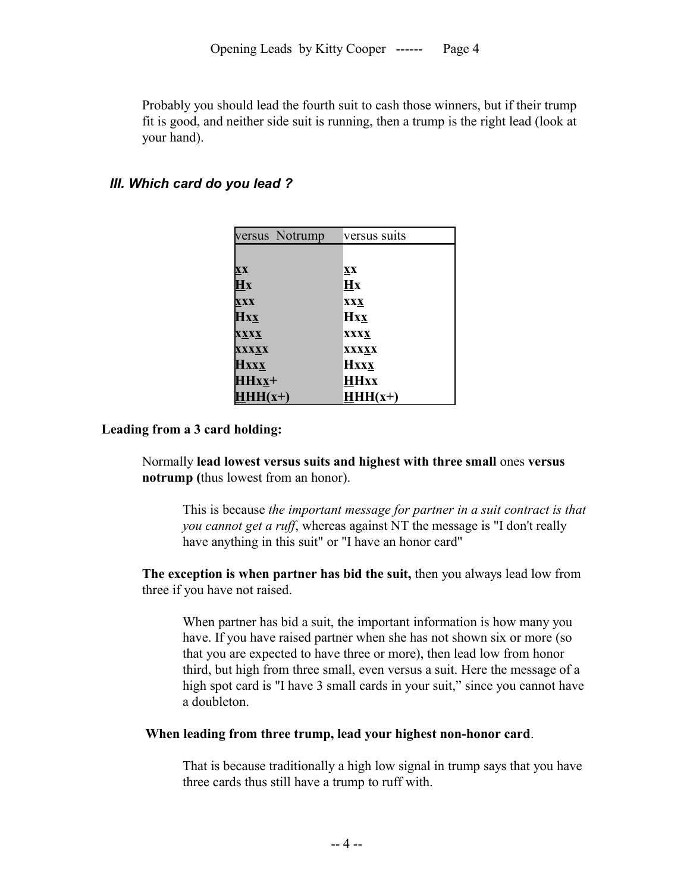Probably you should lead the fourth suit to cash those winners, but if their trump fit is good, and neither side suit is running, then a trump is the right lead (look at your hand).

#### *III. Which card do you lead ?*

| versus Notrump                    | versus suits           |
|-----------------------------------|------------------------|
|                                   |                        |
| $\mathbf{X} \mathbf{X}$           | XX                     |
| $\overline{\mathbf{H}}\mathbf{x}$ | $\mathbf{H}\mathbf{x}$ |
| <b>XXX</b>                        | <b>XXX</b>             |
| <b>Hxx</b>                        | <b>Hxx</b>             |
| <b>XXXX</b>                       | XXXX                   |
| <b>XXXXX</b>                      | XXXXX                  |
| <b>Hxxx</b>                       | <b>Hxxx</b>            |
| $HHxx$ +                          | <b>HHxx</b>            |
| $HHH(x+)$                         | $HHH(x+)$              |

#### **Leading from a 3 card holding:**

Normally **lead lowest versus suits and highest with three small** ones **versus notrump (**thus lowest from an honor).

This is because *the important message for partner in a suit contract is that you cannot get a ruff*, whereas against NT the message is "I don't really have anything in this suit" or "I have an honor card"

**The exception is when partner has bid the suit,** then you always lead low from three if you have not raised.

When partner has bid a suit, the important information is how many you have. If you have raised partner when she has not shown six or more (so that you are expected to have three or more), then lead low from honor third, but high from three small, even versus a suit. Here the message of a high spot card is "I have 3 small cards in your suit," since you cannot have a doubleton.

#### **When leading from three trump, lead your highest non-honor card**.

That is because traditionally a high low signal in trump says that you have three cards thus still have a trump to ruff with.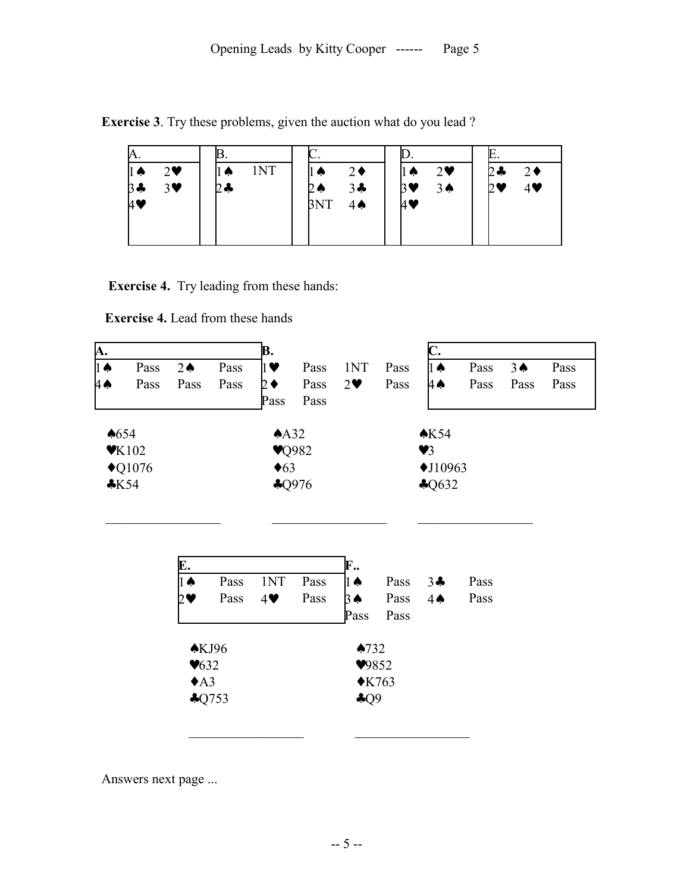**Exercise 3**. Try these problems, given the auction what do you lead ?

| И.        |                       |            | ∼.                   |                              | Ŀ.                                  |
|-----------|-----------------------|------------|----------------------|------------------------------|-------------------------------------|
| 11 Q      | $2\bullet$            | 1NT<br>∥ a | $2\bullet$<br>∐ ♠    | $2\bullet$<br>$1 \spadesuit$ | $2 -$<br>$2\bullet$                 |
| $\beta$ + | $3\blacktriangledown$ | $2 -$      | $3 -$<br>2Ѧ          | $3 \spadesuit$<br>B♥         | $4\blacktriangledown$<br>$2\bullet$ |
| 1♥        |                       |            | 3NT<br>$4\spadesuit$ | И♥                           |                                     |
|           |                       |            |                      |                              |                                     |
|           |                       |            |                      |                              |                                     |

**Exercise 4.** Try leading from these hands:

**Exercise 4.** Lead from these hands

| A.              |                           |                |      | B.                       |      |            |                  |                      |      |               |      |
|-----------------|---------------------------|----------------|------|--------------------------|------|------------|------------------|----------------------|------|---------------|------|
| $1\spadesuit$   | Pass                      | $2 \spadesuit$ | Pass | $\mathbf{1} \bullet$     | Pass | 1NT        | Pass             | 1∧                   | Pass | $3\spadesuit$ | Pass |
| 4ѧ              | Pass                      | Pass           | Pass |                          | Pass | $2\bullet$ | Pass             | 1∧                   | Pass | Pass          | Pass |
|                 |                           |                |      | Pass                     | Pass |            |                  |                      |      |               |      |
| $\triangle 654$ |                           |                |      | A <sub>32</sub>          |      |            |                  | $\triangle$ K54      |      |               |      |
|                 | $\blacktriangledown$ K102 |                |      | $\blacktriangledown$ 982 |      |            |                  | $\blacktriangledown$ |      |               |      |
|                 | $\triangle$ Q1076         |                |      | $\triangleleft 63$       |      |            |                  | $\triangle$ J10963   |      |               |      |
| $*K54$          |                           |                |      | \$Q976                   |      |            | $\clubsuit Q632$ |                      |      |               |      |

| E.                                         |                            |            |      | F.,                                                           |      |               |      |
|--------------------------------------------|----------------------------|------------|------|---------------------------------------------------------------|------|---------------|------|
|                                            | Pass                       | 1NT        | Pass | $1\spadesuit$                                                 | Pass | $3 -$         | Pass |
|                                            | Pass                       | $4\bullet$ | Pass |                                                               | Pass | $4\spadesuit$ | Pass |
|                                            |                            |            |      | Pass                                                          | Pass |               |      |
| $\blacktriangledown 632$<br>$\triangle$ A3 | $\triangle$ KJ96<br>\$Q753 |            |      | $\triangle 732$<br>9852<br>$\triangle$ K763<br>$\clubsuit$ Q9 |      |               |      |

\_\_\_\_\_\_\_\_\_\_\_\_\_\_\_\_\_ \_\_\_\_\_\_\_\_\_\_\_\_\_\_\_\_\_

 $\mathcal{L}_\text{max}$  and the contract of the contract of the contract of the contract of the contract of the contract of the contract of the contract of the contract of the contract of the contract of the contract of the contrac

Answers next page ...